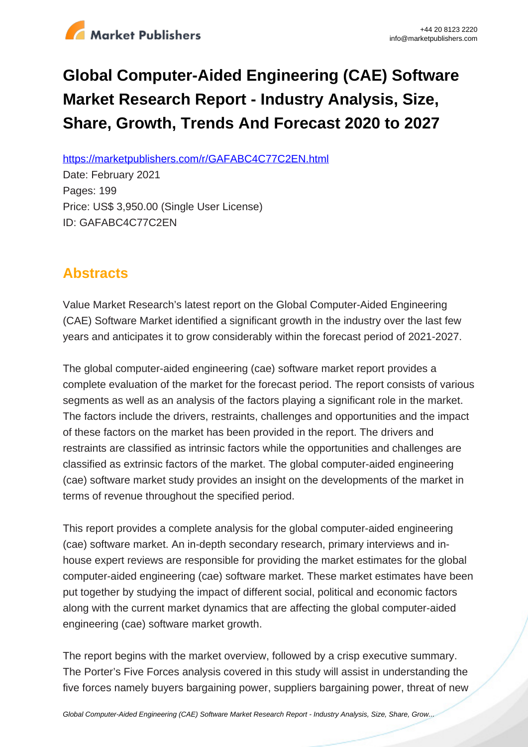

# **Global Computer-Aided Engineering (CAE) Software Market Research Report - Industry Analysis, Size, Share, Growth, Trends And Forecast 2020 to 2027**

https://marketpublishers.com/r/GAFABC4C77C2EN.html

Date: February 2021 Pages: 199 Price: US\$ 3,950.00 (Single User License) ID: GAFABC4C77C2EN

# **Abstracts**

Value Market Research's latest report on the Global Computer-Aided Engineering (CAE) Software Market identified a significant growth in the industry over the last few years and anticipates it to grow considerably within the forecast period of 2021-2027.

The global computer-aided engineering (cae) software market report provides a complete evaluation of the market for the forecast period. The report consists of various segments as well as an analysis of the factors playing a significant role in the market. The factors include the drivers, restraints, challenges and opportunities and the impact of these factors on the market has been provided in the report. The drivers and restraints are classified as intrinsic factors while the opportunities and challenges are classified as extrinsic factors of the market. The global computer-aided engineering (cae) software market study provides an insight on the developments of the market in terms of revenue throughout the specified period.

This report provides a complete analysis for the global computer-aided engineering (cae) software market. An in-depth secondary research, primary interviews and inhouse expert reviews are responsible for providing the market estimates for the global computer-aided engineering (cae) software market. These market estimates have been put together by studying the impact of different social, political and economic factors along with the current market dynamics that are affecting the global computer-aided engineering (cae) software market growth.

The report begins with the market overview, followed by a crisp executive summary. The Porter's Five Forces analysis covered in this study will assist in understanding the five forces namely buyers bargaining power, suppliers bargaining power, threat of new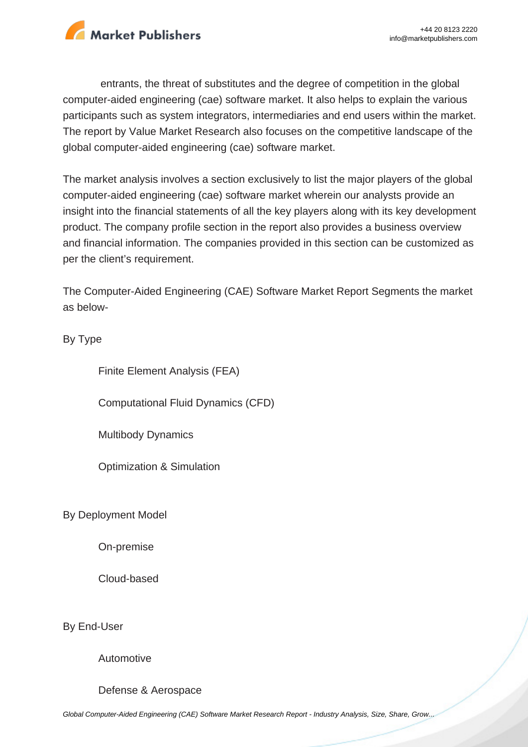

entrants, the threat of substitutes and the degree of competition in the global computer-aided engineering (cae) software market. It also helps to explain the various participants such as system integrators, intermediaries and end users within the market. The report by Value Market Research also focuses on the competitive landscape of the global computer-aided engineering (cae) software market.

The market analysis involves a section exclusively to list the major players of the global computer-aided engineering (cae) software market wherein our analysts provide an insight into the financial statements of all the key players along with its key development product. The company profile section in the report also provides a business overview and financial information. The companies provided in this section can be customized as per the client's requirement.

The Computer-Aided Engineering (CAE) Software Market Report Segments the market as below-

By Type

Finite Element Analysis (FEA)

Computational Fluid Dynamics (CFD)

Multibody Dynamics

Optimization & Simulation

By Deployment Model

On-premise

Cloud-based

By End-User

Automotive

Defense & Aerospace

[Global Computer-Aided Engineering \(CAE\) Software Market Research Report - Industry Analysis, Size, Share, Grow...](https://marketpublishers.com/report/it-technology/hardware/global-computer-aided-engineering-cae-market-research-report-industry-analysis-size-share-growth-trends-n-forecast-2019-to-2026.html)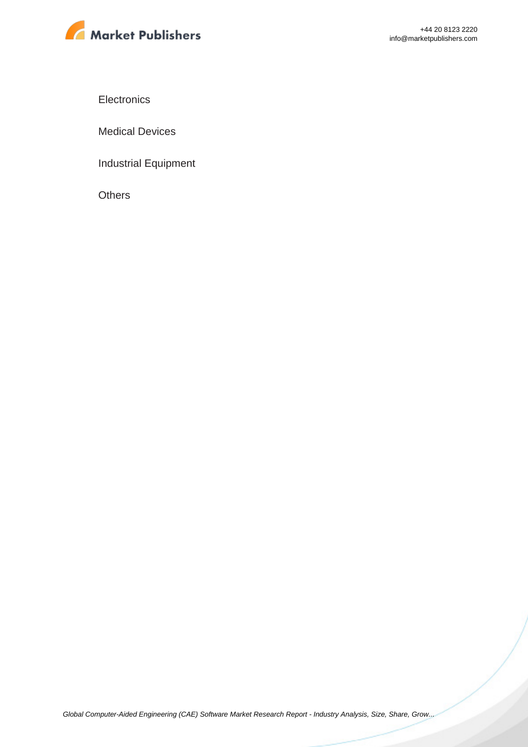

**Electronics** 

Medical Devices

Industrial Equipment

**Others**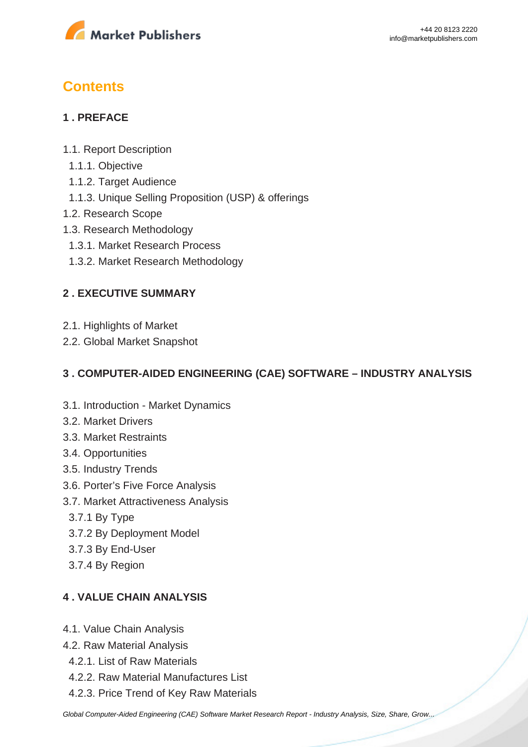

# **Contents**

#### **1 . PREFACE**

- 1.1. Report Description
- 1.1.1. Objective
- 1.1.2. Target Audience
- 1.1.3. Unique Selling Proposition (USP) & offerings
- 1.2. Research Scope
- 1.3. Research Methodology
- 1.3.1. Market Research Process
- 1.3.2. Market Research Methodology

#### **2 . EXECUTIVE SUMMARY**

- 2.1. Highlights of Market
- 2.2. Global Market Snapshot

#### **3 . COMPUTER-AIDED ENGINEERING (CAE) SOFTWARE – INDUSTRY ANALYSIS**

- 3.1. Introduction Market Dynamics
- 3.2. Market Drivers
- 3.3. Market Restraints
- 3.4. Opportunities
- 3.5. Industry Trends
- 3.6. Porter's Five Force Analysis
- 3.7. Market Attractiveness Analysis
	- 3.7.1 By Type
	- 3.7.2 By Deployment Model
	- 3.7.3 By End-User
	- 3.7.4 By Region

#### **4 . VALUE CHAIN ANALYSIS**

- 4.1. Value Chain Analysis
- 4.2. Raw Material Analysis
- 4.2.1. List of Raw Materials
- 4.2.2. Raw Material Manufactures List
- 4.2.3. Price Trend of Key Raw Materials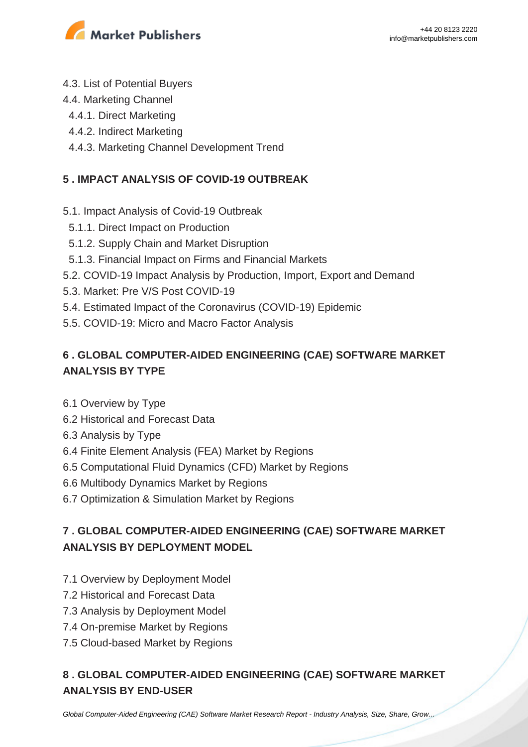

- 4.3. List of Potential Buyers
- 4.4. Marketing Channel
- 4.4.1. Direct Marketing
- 4.4.2. Indirect Marketing
- 4.4.3. Marketing Channel Development Trend

#### **5 . IMPACT ANALYSIS OF COVID-19 OUTBREAK**

- 5.1. Impact Analysis of Covid-19 Outbreak
- 5.1.1. Direct Impact on Production
- 5.1.2. Supply Chain and Market Disruption
- 5.1.3. Financial Impact on Firms and Financial Markets
- 5.2. COVID-19 Impact Analysis by Production, Import, Export and Demand
- 5.3. Market: Pre V/S Post COVID-19
- 5.4. Estimated Impact of the Coronavirus (COVID-19) Epidemic
- 5.5. COVID-19: Micro and Macro Factor Analysis

## **6 . GLOBAL COMPUTER-AIDED ENGINEERING (CAE) SOFTWARE MARKET ANALYSIS BY TYPE**

- 6.1 Overview by Type
- 6.2 Historical and Forecast Data
- 6.3 Analysis by Type
- 6.4 Finite Element Analysis (FEA) Market by Regions
- 6.5 Computational Fluid Dynamics (CFD) Market by Regions
- 6.6 Multibody Dynamics Market by Regions
- 6.7 Optimization & Simulation Market by Regions

### **7 . GLOBAL COMPUTER-AIDED ENGINEERING (CAE) SOFTWARE MARKET ANALYSIS BY DEPLOYMENT MODEL**

- 7.1 Overview by Deployment Model
- 7.2 Historical and Forecast Data
- 7.3 Analysis by Deployment Model
- 7.4 On-premise Market by Regions
- 7.5 Cloud-based Market by Regions

### **8 . GLOBAL COMPUTER-AIDED ENGINEERING (CAE) SOFTWARE MARKET ANALYSIS BY END-USER**

[Global Computer-Aided Engineering \(CAE\) Software Market Research Report - Industry Analysis, Size, Share, Grow...](https://marketpublishers.com/report/it-technology/hardware/global-computer-aided-engineering-cae-market-research-report-industry-analysis-size-share-growth-trends-n-forecast-2019-to-2026.html)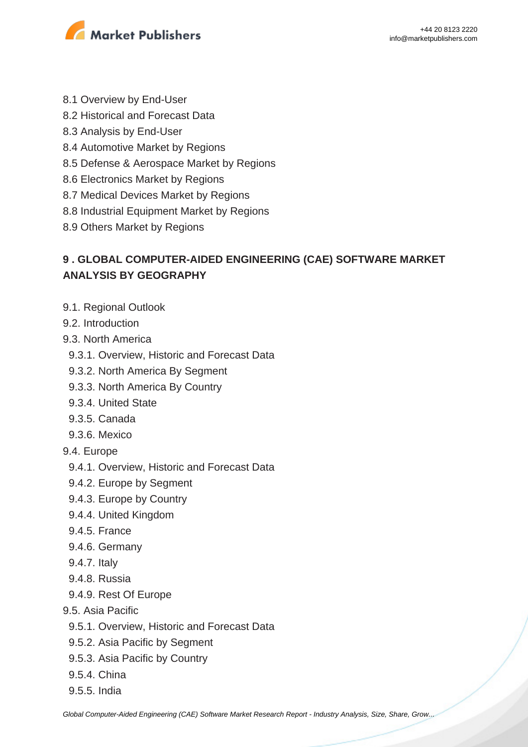

- 8.1 Overview by End-User
- 8.2 Historical and Forecast Data
- 8.3 Analysis by End-User
- 8.4 Automotive Market by Regions
- 8.5 Defense & Aerospace Market by Regions
- 8.6 Electronics Market by Regions
- 8.7 Medical Devices Market by Regions
- 8.8 Industrial Equipment Market by Regions
- 8.9 Others Market by Regions

### **9 . GLOBAL COMPUTER-AIDED ENGINEERING (CAE) SOFTWARE MARKET ANALYSIS BY GEOGRAPHY**

- 9.1. Regional Outlook
- 9.2. Introduction
- 9.3. North America
	- 9.3.1. Overview, Historic and Forecast Data
	- 9.3.2. North America By Segment
	- 9.3.3. North America By Country
	- 9.3.4. United State
	- 9.3.5. Canada
	- 9.3.6. Mexico
- 9.4. Europe
	- 9.4.1. Overview, Historic and Forecast Data
	- 9.4.2. Europe by Segment
	- 9.4.3. Europe by Country
	- 9.4.4. United Kingdom
	- 9.4.5. France
	- 9.4.6. Germany
	- 9.4.7. Italy
	- 9.4.8. Russia
	- 9.4.9. Rest Of Europe
- 9.5. Asia Pacific
	- 9.5.1. Overview, Historic and Forecast Data
	- 9.5.2. Asia Pacific by Segment
	- 9.5.3. Asia Pacific by Country
	- 9.5.4. China
	- 9.5.5. India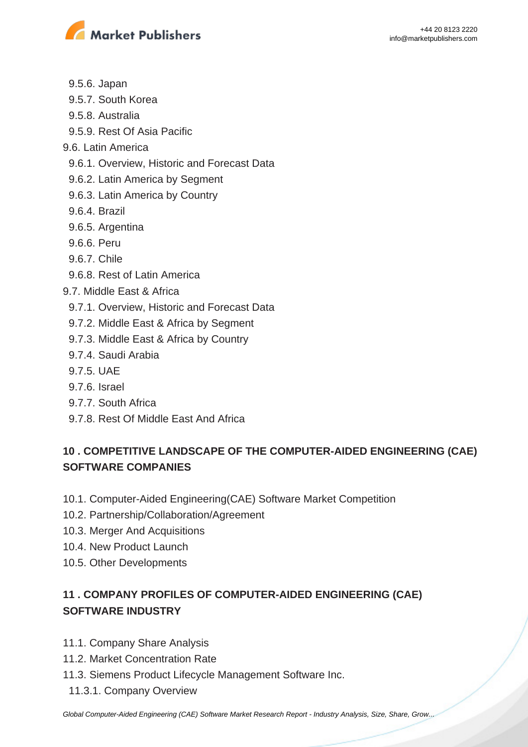

- 9.5.6. Japan
- 9.5.7. South Korea
- 9.5.8. Australia
- 9.5.9. Rest Of Asia Pacific
- 9.6. Latin America
	- 9.6.1. Overview, Historic and Forecast Data
	- 9.6.2. Latin America by Segment
	- 9.6.3. Latin America by Country
	- 9.6.4. Brazil
	- 9.6.5. Argentina
	- 9.6.6. Peru
	- 9.6.7. Chile
	- 9.6.8. Rest of Latin America
- 9.7. Middle East & Africa
	- 9.7.1. Overview, Historic and Forecast Data
	- 9.7.2. Middle East & Africa by Segment
	- 9.7.3. Middle East & Africa by Country
	- 9.7.4. Saudi Arabia
	- 9.7.5. UAE
	- 9.7.6. Israel
	- 9.7.7. South Africa
	- 9.7.8. Rest Of Middle East And Africa

### **10 . COMPETITIVE LANDSCAPE OF THE COMPUTER-AIDED ENGINEERING (CAE) SOFTWARE COMPANIES**

- 10.1. Computer-Aided Engineering(CAE) Software Market Competition
- 10.2. Partnership/Collaboration/Agreement
- 10.3. Merger And Acquisitions
- 10.4. New Product Launch
- 10.5. Other Developments

## **11 . COMPANY PROFILES OF COMPUTER-AIDED ENGINEERING (CAE) SOFTWARE INDUSTRY**

- 11.1. Company Share Analysis
- 11.2. Market Concentration Rate
- 11.3. Siemens Product Lifecycle Management Software Inc.
	- 11.3.1. Company Overview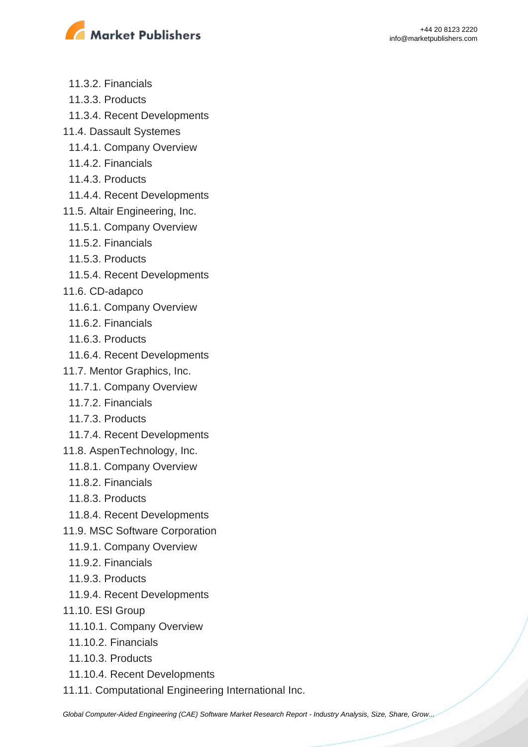

- 11.3.2. Financials
- 11.3.3. Products
- 11.3.4. Recent Developments
- 11.4. Dassault Systemes
	- 11.4.1. Company Overview
	- 11.4.2. Financials
	- 11.4.3. Products
	- 11.4.4. Recent Developments
- 11.5. Altair Engineering, Inc.
	- 11.5.1. Company Overview
	- 11.5.2. Financials
- 11.5.3. Products
- 11.5.4. Recent Developments
- 11.6. CD-adapco
- 11.6.1. Company Overview
- 11.6.2. Financials
- 11.6.3. Products
- 11.6.4. Recent Developments
- 11.7. Mentor Graphics, Inc.
	- 11.7.1. Company Overview
	- 11.7.2. Financials
	- 11.7.3. Products
- 11.7.4. Recent Developments
- 11.8. AspenTechnology, Inc.
	- 11.8.1. Company Overview
	- 11.8.2. Financials
	- 11.8.3. Products
- 11.8.4. Recent Developments
- 11.9. MSC Software Corporation
- 11.9.1. Company Overview
- 11.9.2. Financials
- 11.9.3. Products
- 11.9.4. Recent Developments
- 11.10. ESI Group
	- 11.10.1. Company Overview
	- 11.10.2. Financials
	- 11.10.3. Products
- 11.10.4. Recent Developments
- 11.11. Computational Engineering International Inc.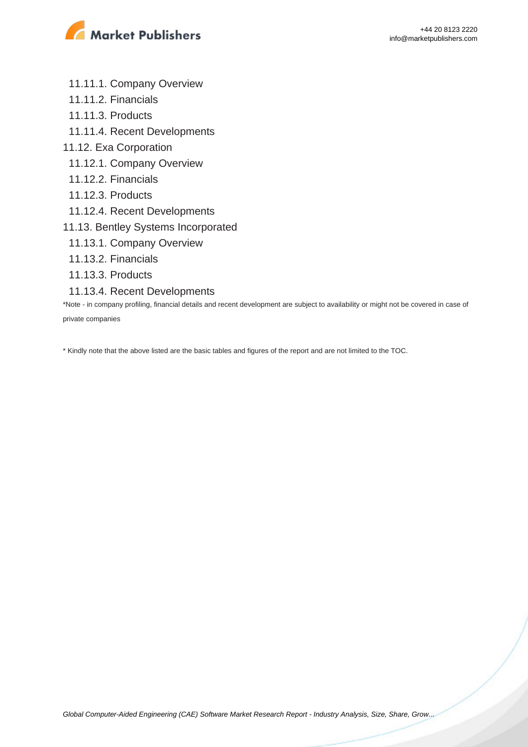

- 11.11.1. Company Overview
- 11.11.2. Financials
- 11.11.3. Products
- 11.11.4. Recent Developments
- 11.12. Exa Corporation
	- 11.12.1. Company Overview
	- 11.12.2. Financials
	- 11.12.3. Products
	- 11.12.4. Recent Developments
- 11.13. Bentley Systems Incorporated
- 11.13.1. Company Overview
- 11.13.2. Financials
- 11.13.3. Products
- 11.13.4. Recent Developments

\*Note - in company profiling, financial details and recent development are subject to availability or might not be covered in case of private companies

\* Kindly note that the above listed are the basic tables and figures of the report and are not limited to the TOC.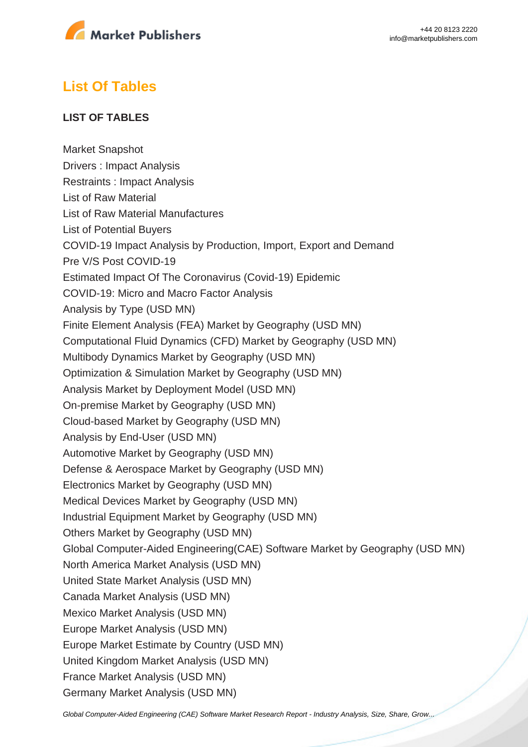

# **List Of Tables**

#### **LIST OF TABLES**

Market Snapshot Drivers : Impact Analysis Restraints : Impact Analysis List of Raw Material List of Raw Material Manufactures List of Potential Buyers COVID-19 Impact Analysis by Production, Import, Export and Demand Pre V/S Post COVID-19 Estimated Impact Of The Coronavirus (Covid-19) Epidemic COVID-19: Micro and Macro Factor Analysis Analysis by Type (USD MN) Finite Element Analysis (FEA) Market by Geography (USD MN) Computational Fluid Dynamics (CFD) Market by Geography (USD MN) Multibody Dynamics Market by Geography (USD MN) Optimization & Simulation Market by Geography (USD MN) Analysis Market by Deployment Model (USD MN) On-premise Market by Geography (USD MN) Cloud-based Market by Geography (USD MN) Analysis by End-User (USD MN) Automotive Market by Geography (USD MN) Defense & Aerospace Market by Geography (USD MN) Electronics Market by Geography (USD MN) Medical Devices Market by Geography (USD MN) Industrial Equipment Market by Geography (USD MN) Others Market by Geography (USD MN) Global Computer-Aided Engineering(CAE) Software Market by Geography (USD MN) North America Market Analysis (USD MN) United State Market Analysis (USD MN) Canada Market Analysis (USD MN) Mexico Market Analysis (USD MN) Europe Market Analysis (USD MN) Europe Market Estimate by Country (USD MN) United Kingdom Market Analysis (USD MN) France Market Analysis (USD MN) Germany Market Analysis (USD MN)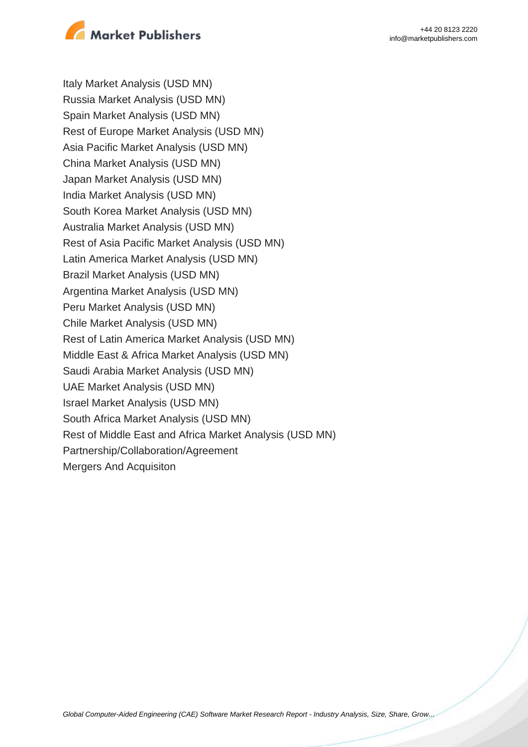

Italy Market Analysis (USD MN) Russia Market Analysis (USD MN) Spain Market Analysis (USD MN) Rest of Europe Market Analysis (USD MN) Asia Pacific Market Analysis (USD MN) China Market Analysis (USD MN) Japan Market Analysis (USD MN) India Market Analysis (USD MN) South Korea Market Analysis (USD MN) Australia Market Analysis (USD MN) Rest of Asia Pacific Market Analysis (USD MN) Latin America Market Analysis (USD MN) Brazil Market Analysis (USD MN) Argentina Market Analysis (USD MN) Peru Market Analysis (USD MN) Chile Market Analysis (USD MN) Rest of Latin America Market Analysis (USD MN) Middle East & Africa Market Analysis (USD MN) Saudi Arabia Market Analysis (USD MN) UAE Market Analysis (USD MN) Israel Market Analysis (USD MN) South Africa Market Analysis (USD MN) Rest of Middle East and Africa Market Analysis (USD MN) Partnership/Collaboration/Agreement Mergers And Acquisiton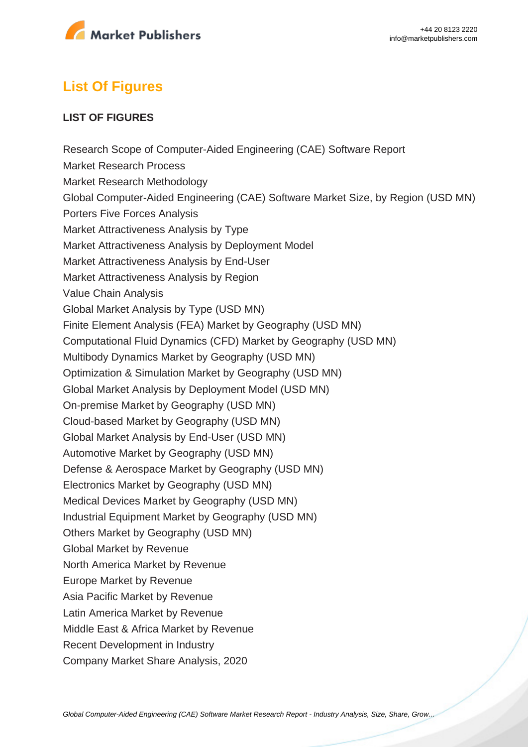

# **List Of Figures**

#### **LIST OF FIGURES**

Research Scope of Computer-Aided Engineering (CAE) Software Report Market Research Process Market Research Methodology Global Computer-Aided Engineering (CAE) Software Market Size, by Region (USD MN) Porters Five Forces Analysis Market Attractiveness Analysis by Type Market Attractiveness Analysis by Deployment Model Market Attractiveness Analysis by End-User Market Attractiveness Analysis by Region Value Chain Analysis Global Market Analysis by Type (USD MN) Finite Element Analysis (FEA) Market by Geography (USD MN) Computational Fluid Dynamics (CFD) Market by Geography (USD MN) Multibody Dynamics Market by Geography (USD MN) Optimization & Simulation Market by Geography (USD MN) Global Market Analysis by Deployment Model (USD MN) On-premise Market by Geography (USD MN) Cloud-based Market by Geography (USD MN) Global Market Analysis by End-User (USD MN) Automotive Market by Geography (USD MN) Defense & Aerospace Market by Geography (USD MN) Electronics Market by Geography (USD MN) Medical Devices Market by Geography (USD MN) Industrial Equipment Market by Geography (USD MN) Others Market by Geography (USD MN) Global Market by Revenue North America Market by Revenue Europe Market by Revenue Asia Pacific Market by Revenue Latin America Market by Revenue Middle East & Africa Market by Revenue Recent Development in Industry Company Market Share Analysis, 2020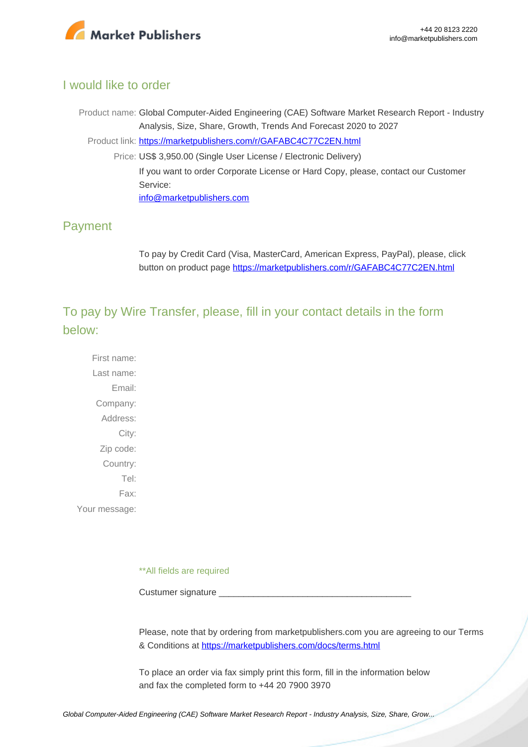

#### I would like to order

Product name: Global Computer-Aided Engineering (CAE) Software Market Research Report - Industry Analysis, Size, Share, Growth, Trends And Forecast 2020 to 2027 Product link: [https://marketpublishers.com/r/GAFABC4C77C2EN.html](https://marketpublishers.com/report/it-technology/hardware/global-computer-aided-engineering-cae-market-research-report-industry-analysis-size-share-growth-trends-n-forecast-2019-to-2026.html) Price: US\$ 3,950.00 (Single User License / Electronic Delivery) If you want to order Corporate License or Hard Copy, please, contact our Customer Service: [info@marketpublishers.com](mailto:info@marketpublishers.com)

#### Payment

To pay by Credit Card (Visa, MasterCard, American Express, PayPal), please, click button on product page [https://marketpublishers.com/r/GAFABC4C77C2EN.html](https://marketpublishers.com/report/it-technology/hardware/global-computer-aided-engineering-cae-market-research-report-industry-analysis-size-share-growth-trends-n-forecast-2019-to-2026.html)

To pay by Wire Transfer, please, fill in your contact details in the form below:

First name: Last name: Email: Company: Address: City: Zip code: Country: Tel: Fax: Your message:

\*\*All fields are required

Custumer signature

Please, note that by ordering from marketpublishers.com you are agreeing to our Terms & Conditions at<https://marketpublishers.com/docs/terms.html>

To place an order via fax simply print this form, fill in the information below and fax the completed form to +44 20 7900 3970